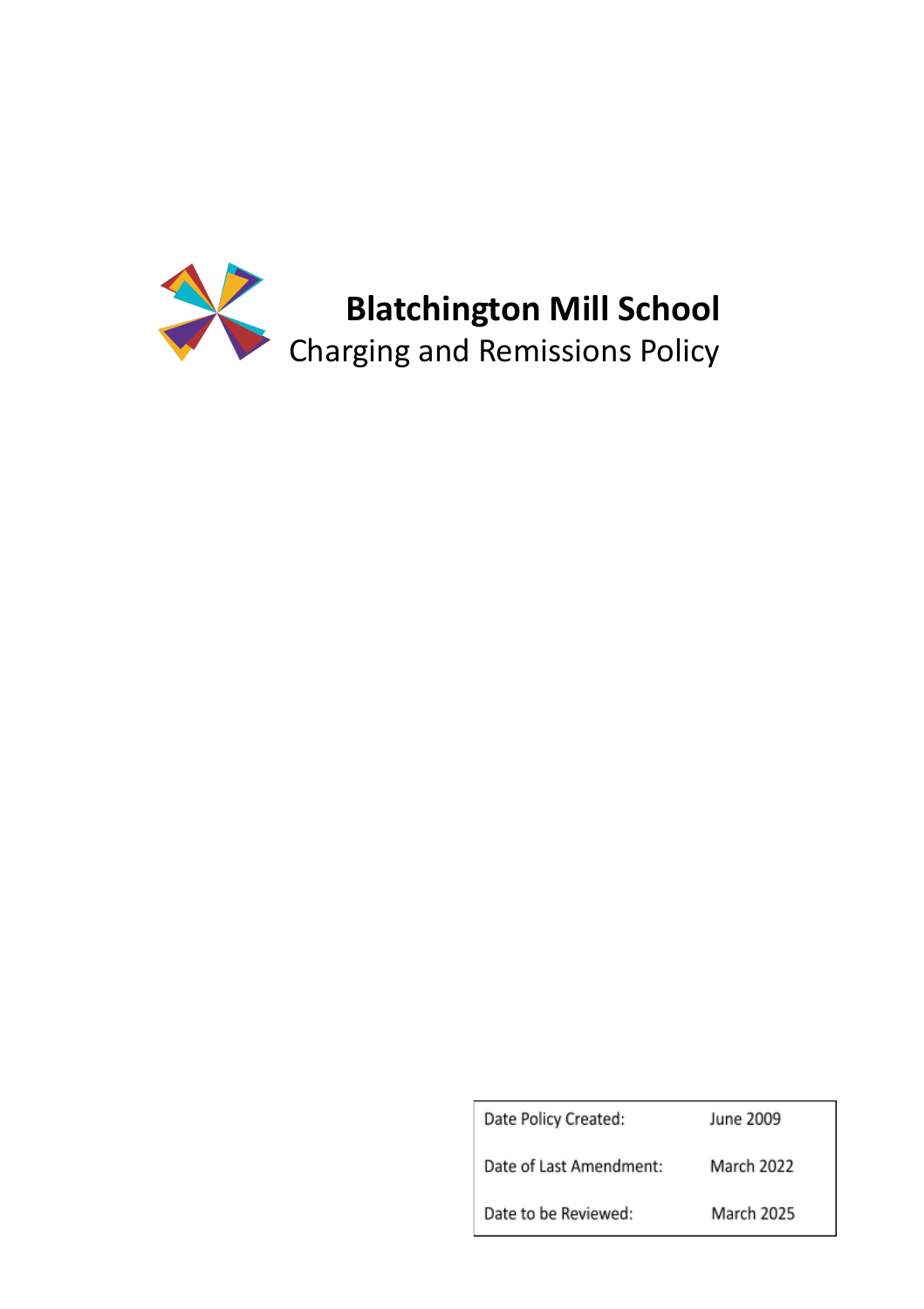

Date Policy Created: June 2009 Date of Last Amendment: March 2022 Date to be Reviewed: March 2025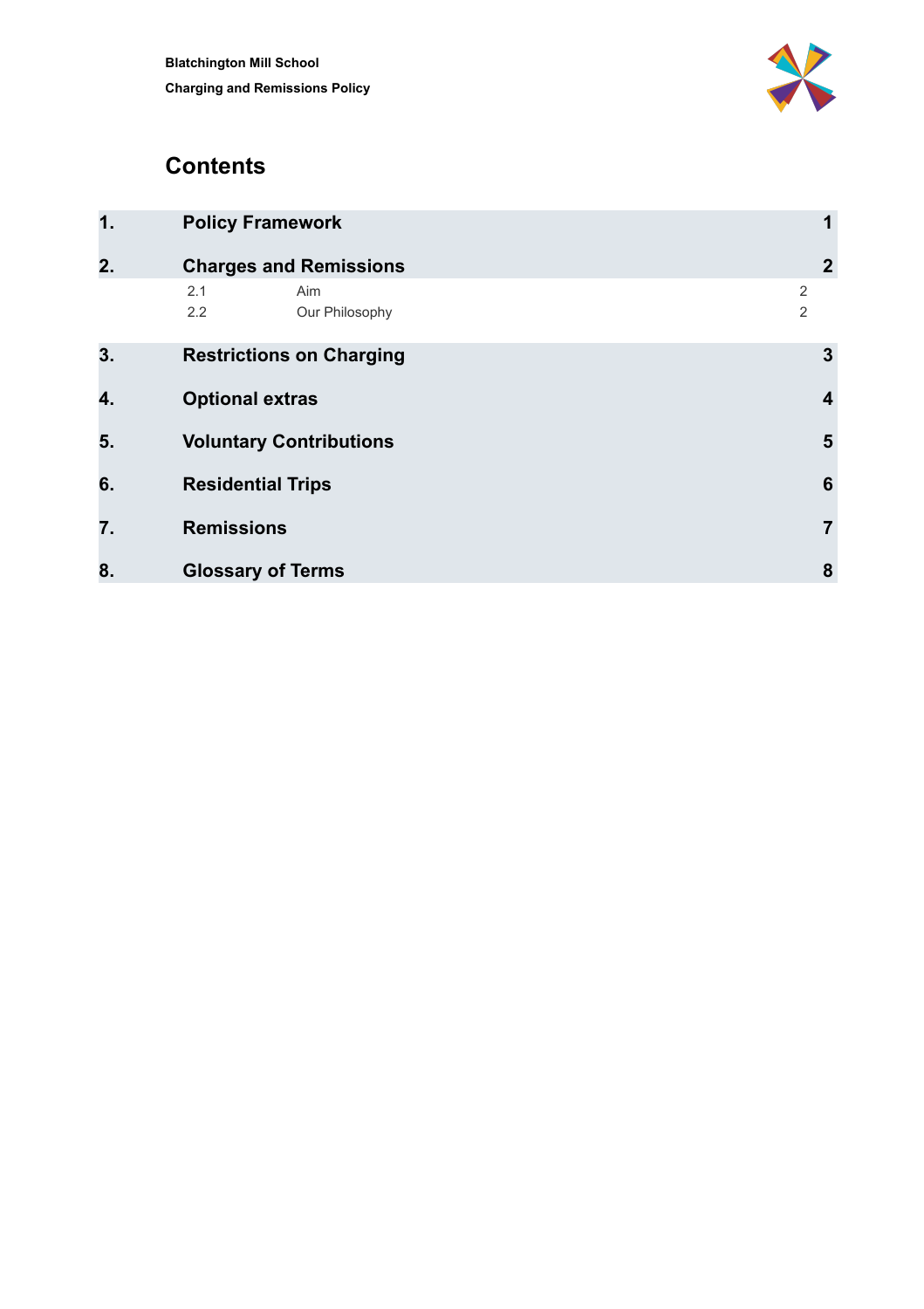

#### **Contents**

<span id="page-1-0"></span>

| 1. | <b>Policy Framework</b>             | 1                       |
|----|-------------------------------------|-------------------------|
| 2. | <b>Charges and Remissions</b>       | $\boldsymbol{2}$        |
|    | 2.1<br>Aim<br>2.2<br>Our Philosophy | 2<br>2                  |
| 3. | <b>Restrictions on Charging</b>     | $\mathbf{3}$            |
| 4. | <b>Optional extras</b>              | $\overline{\mathbf{4}}$ |
| 5. | <b>Voluntary Contributions</b>      | 5                       |
| 6. | <b>Residential Trips</b>            | 6                       |
| 7. | <b>Remissions</b>                   | $\overline{7}$          |
| 8. | <b>Glossary of Terms</b>            | 8                       |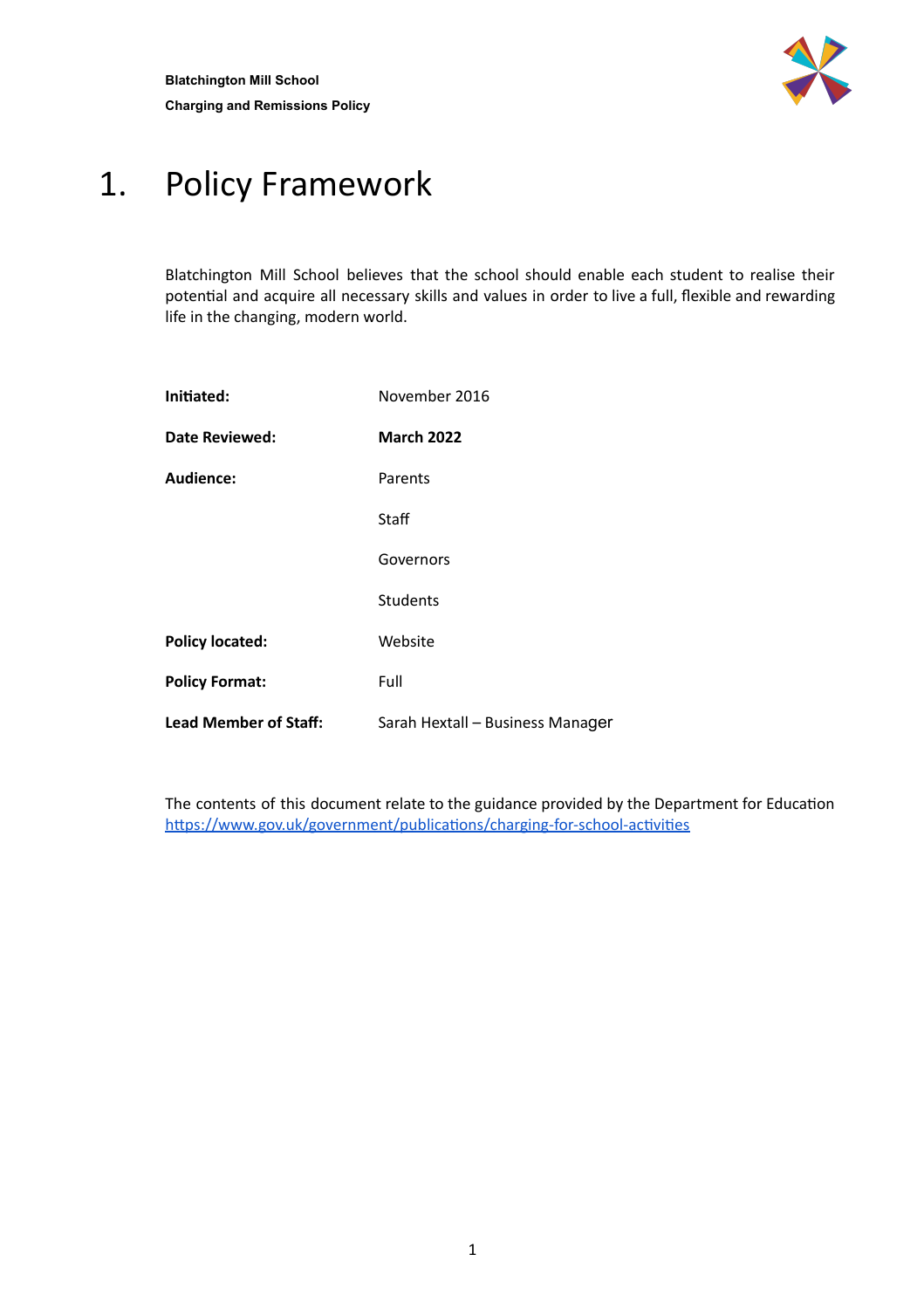

#### 1. Policy Framework

Blatchington Mill School believes that the school should enable each student to realise their potential and acquire all necessary skills and values in order to live a full, flexible and rewarding life in the changing, modern world.

| Initiated:                   | November 2016                    |  |
|------------------------------|----------------------------------|--|
| Date Reviewed:               | <b>March 2022</b>                |  |
| Audience:                    | Parents                          |  |
|                              | Staff                            |  |
|                              | Governors                        |  |
|                              | <b>Students</b>                  |  |
| <b>Policy located:</b>       | Website                          |  |
| <b>Policy Format:</b>        | Full                             |  |
| <b>Lead Member of Staff:</b> | Sarah Hextall - Business Manager |  |

<span id="page-2-0"></span>The contents of this document relate to the guidance provided by the Department for Education https://www.gov.uk/government/publications/charging-for-school-activities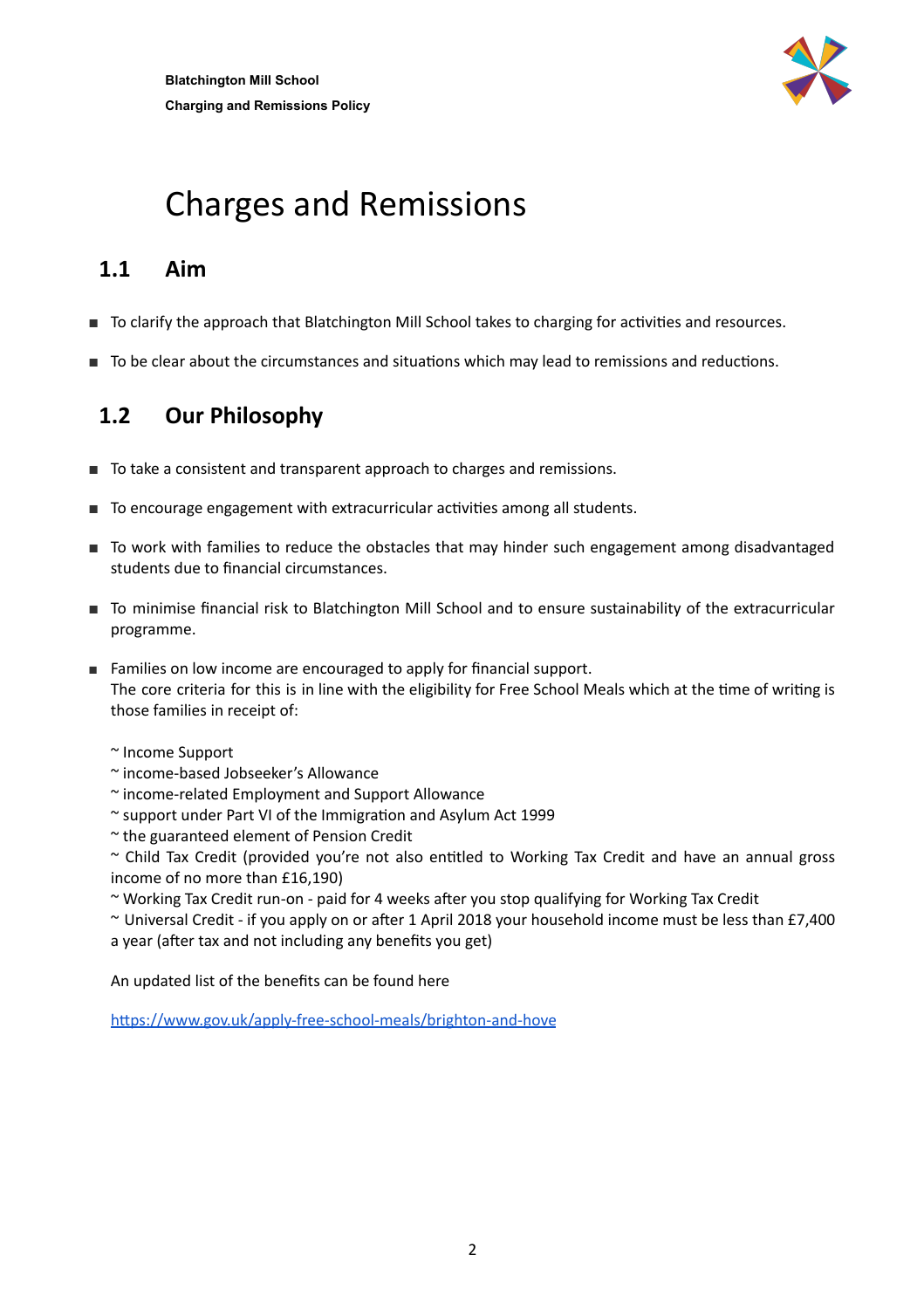

## Charges and Remissions

#### **1.1 Aim**

- To clarify the approach that Blatchington Mill School takes to charging for activities and resources.
- <span id="page-3-0"></span>■ To be clear about the circumstances and situations which may lead to remissions and reductions.

#### **1.2 Our Philosophy**

- To take a consistent and transparent approach to charges and remissions.
- To encourage engagement with extracurricular activities among all students.
- To work with families to reduce the obstacles that may hinder such engagement among disadvantaged students due to financial circumstances.
- To minimise financial risk to Blatchington Mill School and to ensure sustainability of the extracurricular programme.
- Families on low income are encouraged to apply for financial support. The core criteria for this is in line with the eligibility for Free School Meals which at the time of writing is those families in receipt of:
	- ~ Income Support
	- ~ income-based Jobseeker's Allowance
	- ~ income-related Employment and Support Allowance
	- $\sim$  support under Part VI of the Immigration and Asylum Act 1999
	- ~ the guaranteed element of Pension Credit

 $\sim$  Child Tax Credit (provided you're not also entitled to Working Tax Credit and have an annual gross income of no more than £16,190)

- ~ Working Tax Credit run-on paid for 4 weeks after you stop qualifying for Working Tax Credit
- $\sim$  Universal Credit if you apply on or after 1 April 2018 your household income must be less than £7,400 a year (after tax and not including any benefits you get)

An updated list of the benefits can be found here

<span id="page-3-1"></span>https://www.gov.uk/apply-free-school-meals/brighton-and-hove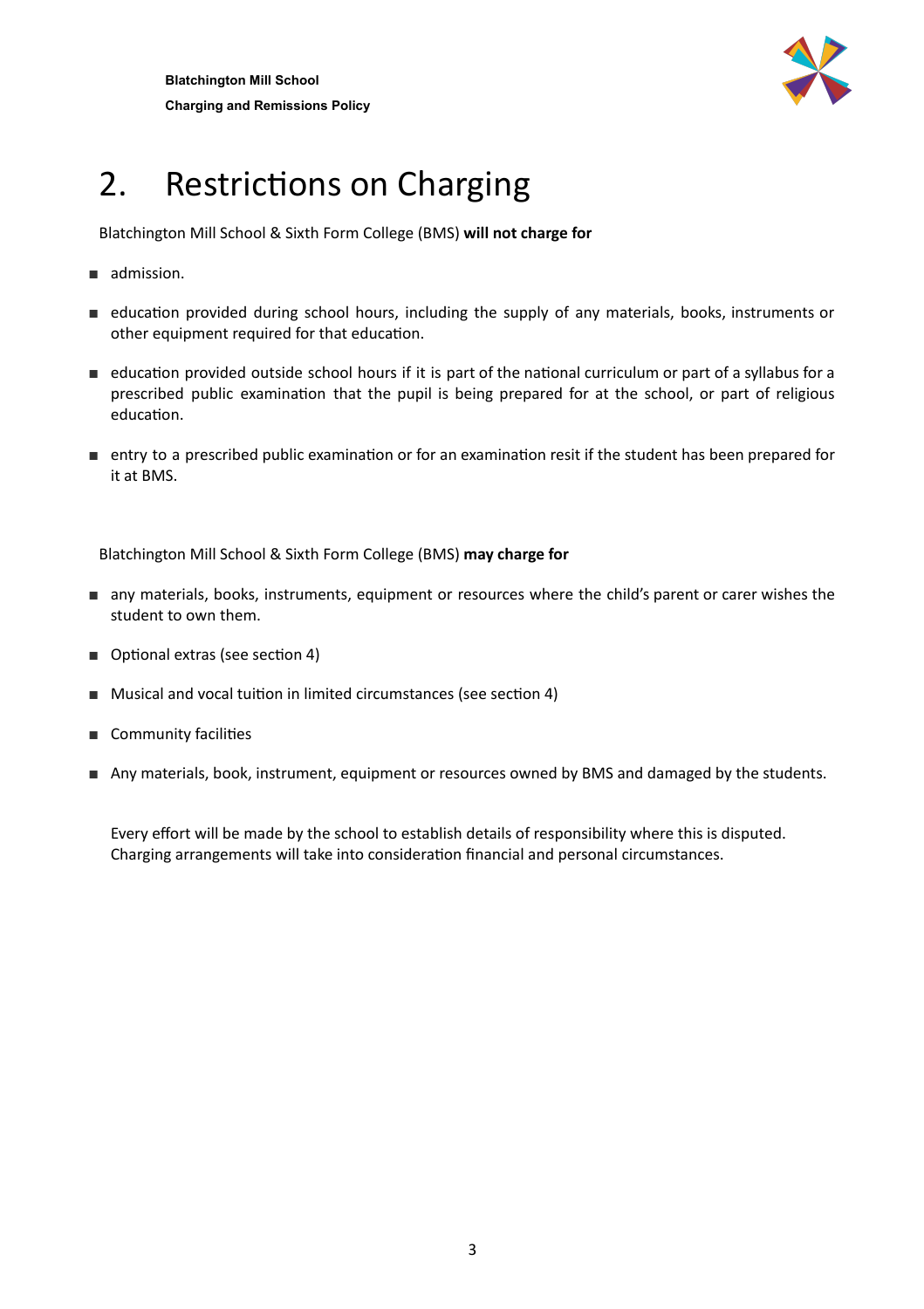

# 2. Restrictions on Charging

Blatchington Mill School & Sixth Form College (BMS) **will not charge for**

- admission.
- education provided during school hours, including the supply of any materials, books, instruments or other equipment required for that education.
- education provided outside school hours if it is part of the national curriculum or part of a syllabus for a prescribed public examination that the pupil is being prepared for at the school, or part of religious education.
- entry to a prescribed public examination or for an examination resit if the student has been prepared for it at BMS.

Blatchington Mill School & Sixth Form College (BMS) **may charge for**

- any materials, books, instruments, equipment or resources where the child's parent or carer wishes the student to own them.
- Optional extras (see section 4)
- Musical and vocal tuition in limited circumstances (see section 4)
- Community facilities
- Any materials, book, instrument, equipment or resources owned by BMS and damaged by the students.

Every effort will be made by the school to establish details of responsibility where this is disputed. Charging arrangements will take into consideration financial and personal circumstances.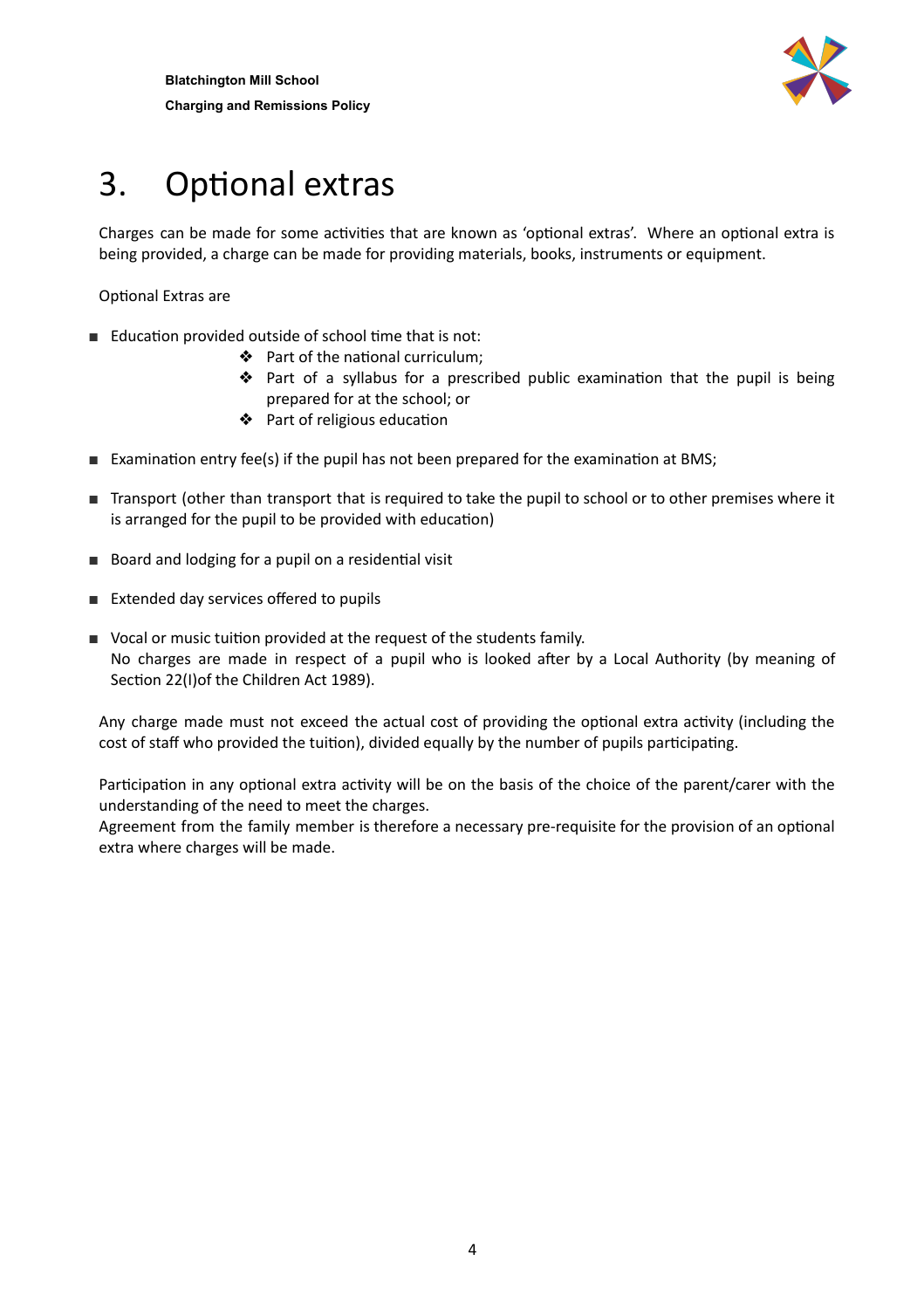

# 3. Optional extras

Charges can be made for some activities that are known as 'optional extras'. Where an optional extra is being provided, a charge can be made for providing materials, books, instruments or equipment.

Optional Extras are

- Education provided outside of school time that is not:
	- ❖ Part of the national curriculum;
	- ❖ Part of a syllabus for a prescribed public examination that the pupil is being prepared for at the school; or
	- ◆ Part of religious education
- Examination entry fee(s) if the pupil has not been prepared for the examination at BMS;
- Transport (other than transport that is required to take the pupil to school or to other premises where it is arranged for the pupil to be provided with education)
- Board and lodging for a pupil on a residential visit
- Extended day services offered to pupils
- Vocal or music tuition provided at the request of the students family. No charges are made in respect of a pupil who is looked after by a Local Authority (by meaning of Section 22(I)of the Children Act 1989).

Any charge made must not exceed the actual cost of providing the optional extra activity (including the cost of staff who provided the tuition), divided equally by the number of pupils participating.

Participation in any optional extra activity will be on the basis of the choice of the parent/carer with the understanding of the need to meet the charges.

<span id="page-5-0"></span>Agreement from the family member is therefore a necessary pre-requisite for the provision of an optional extra where charges will be made.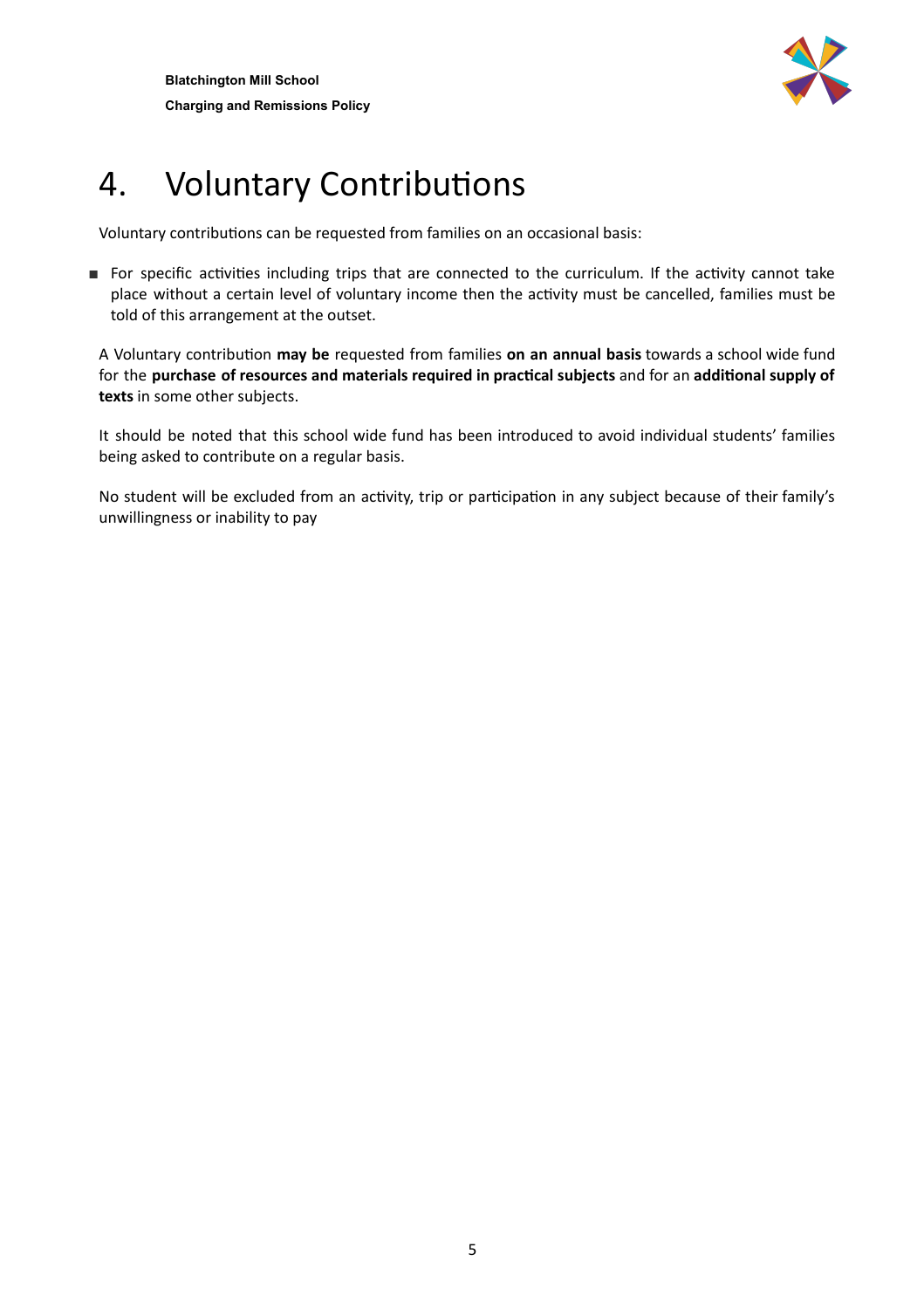

## 4. Voluntary Contributions

Voluntary contributions can be requested from families on an occasional basis:

■ For specific activities including trips that are connected to the curriculum. If the activity cannot take place without a certain level of voluntary income then the activity must be cancelled, families must be told of this arrangement at the outset.

A Voluntary contribution may be requested from families on an annual basis towards a school wide fund for the **purchase of resources and materials required in praccal subjects** and for an **addional supply of texts** in some other subjects.

It should be noted that this school wide fund has been introduced to avoid individual students' families being asked to contribute on a regular basis.

<span id="page-6-0"></span>No student will be excluded from an activity, trip or participation in any subject because of their family's unwillingness or inability to pay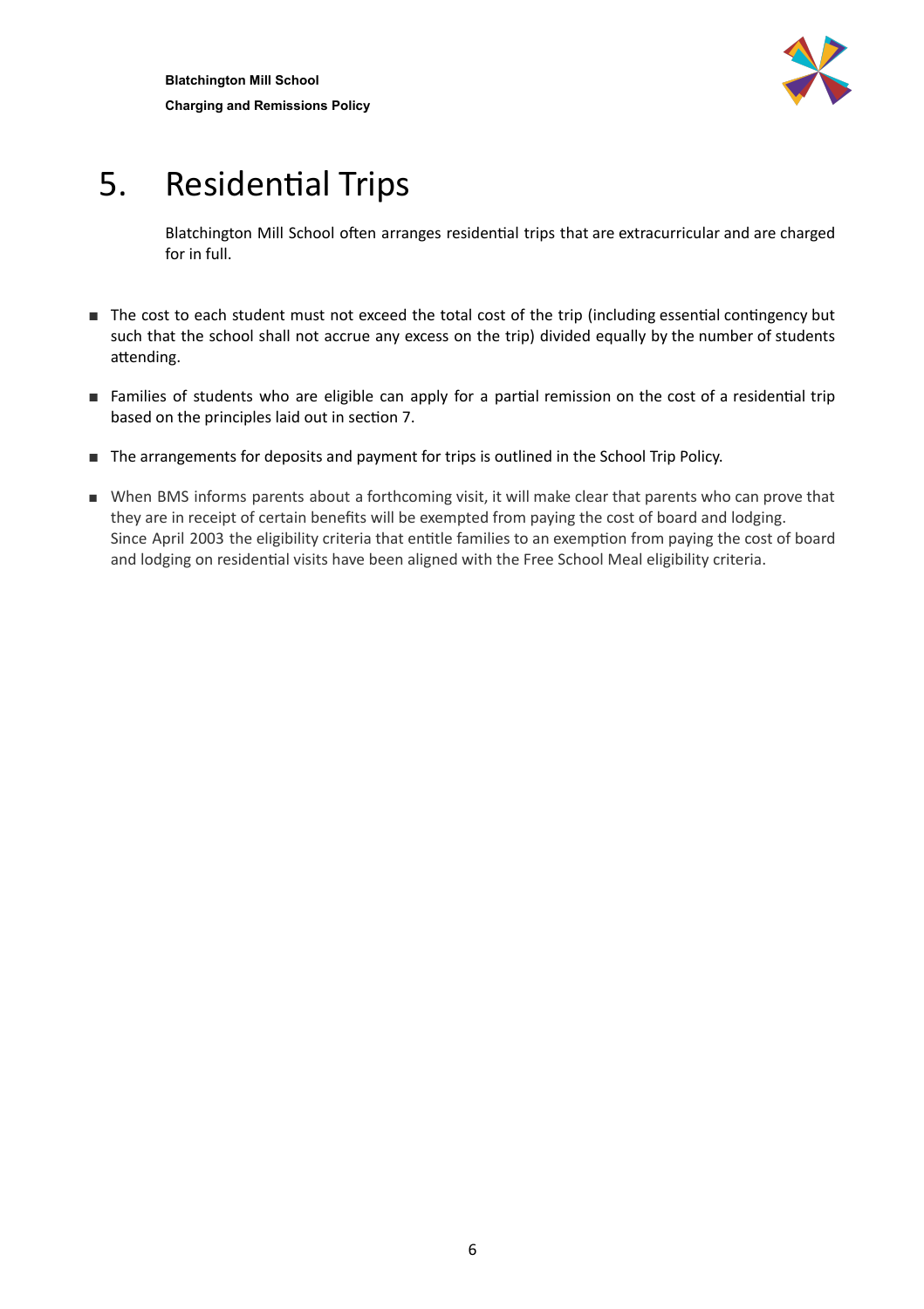

## 5. Residential Trips

Blatchington Mill School often arranges residential trips that are extracurricular and are charged for in full.

- The cost to each student must not exceed the total cost of the trip (including essential contingency but such that the school shall not accrue any excess on the trip) divided equally by the number of students attending.
- Families of students who are eligible can apply for a partial remission on the cost of a residential trip based on the principles laid out in section 7.
- The arrangements for deposits and payment for trips is outlined in the School Trip Policy.
- When BMS informs parents about a forthcoming visit, it will make clear that parents who can prove that they are in receipt of certain benefits will be exempted from paying the cost of board and lodging. Since April 2003 the eligibility criteria that entitle families to an exemption from paying the cost of board and lodging on residential visits have been aligned with the Free School Meal eligibility criteria.